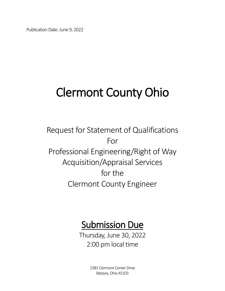Publication Date: June 9, 2022

## Clermont County Ohio

Request for Statement of Qualifications For Professional Engineering/Right of Way Acquisition/Appraisal Services for the Clermont County Engineer

# **Submission Due**<br>Thursday, June 30, 2022

2:00 pm local time

2381 Clermont Center Drive Batavia, Ohio 45103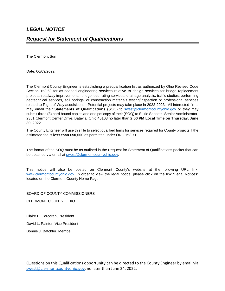The Clermont Sun

Date: 06/09/2022

The Clermont County Engineer is establishing a prequalification list as authorized by Ohio Revised Code Section 153.68 for as-needed engineering services relative to design services for bridge replacement projects, roadway improvements, bridge load rating services, drainage analysis, traffic studies, performing geotechnical services, soil borings, or construction materials testing/inspection or professional services related to Right of Way acquisitions. Potential projects may take place in 2022-2023. All interested firms may email their **Statements of Qualifications** (SOQ) to [swest@clermontcountyohio.gov](mailto:swest@clermontcountyohio.gov) or they may submit three (3) hard bound copies and one pdf copy of their (SOQ) to Sukie Scheetz, Senior Administrator, 2381 Clermont Center Drive, Batavia, Ohio 45103 no later than **2:00 PM Local Time on Thursday, June 30, 2022**

The County Engineer will use this file to select qualified firms for services required for County projects if the estimated fee is **less than \$50,000** as permitted under ORC 153.71.

The format of the SOQ must be as outlined in the Request for Statement of Qualifications packet that can be obtained via email at [swest@clermontcountyohio.gov.](mailto:swest@clermontcountyohio.gov)

This notice will also be posted on Clermont County's website at the following URL link: [www.clermontcountyohio.gov.](http://www.clermontcountyohio.gov/) In order to view the legal notice, please click on the link "Legal Notices" located on the Clermont County Home Page.

BOARD OF COUNTY COMMISSIONERS

CLERMONT COUNTY, OHIO

Claire B. Corcoran, President

David L. Painter, Vice President

Bonnie J. Batchler, Membe

Questions on this Qualifications opportunity can be directed to the County Engineer by email via [swest@clermontcountyohio.gov,](mailto:swest@clermontcountyohio.gov) no later than June 24, 2022.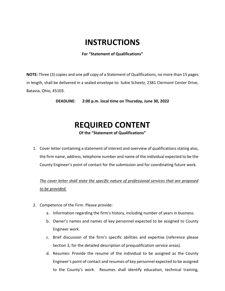#### **INSTRUCTIONS**

**For "Statement of Qualifications"**

**NOTE:** Three (3) copies and one pdf copy of a Statement of Qualifications, no more than 15 pages in length, shall be delivered in a sealed envelope to: Sukie Scheetz, 2381 Clermont Center Drive, Batavia, Ohio, 45103.

**DEADLINE: 2:00 p.m. local time on Thursday, June 30, 2022**

### **REQUIRED CONTENT**

**Of the "Statement of Qualifications"**

1. Cover letter containing a statement of interest and overview of qualifications stating also, the firm name, address, telephone number and name of the individual expected to be the County Engineer's point of contact for the submission and for coordinating future work.

*The cover letter shall state the specific nature of professional services that are proposed to be provided.* 

- 2. Competence of the Firm. Please provide:
	- a. Information regarding the firm's history, including number of years in business.
	- b. Owner's names and names of key personnel expected to be assigned to County Engineer work.
	- c. Brief discussion of the firm's specific abilities and expertise (reference please Section 3, for the detailed description of prequalification service areas).
	- d. Resumes: Provide the resume of the individual to be assigned as the County Engineer's point of contact and resumes of key personnel expected to be assigned to the County's work. Resumes shall identify education, technical training,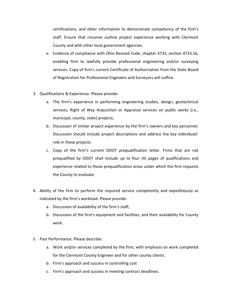certifications, and other information to demonstrate competency of the firm's staff. Ensure that resumes outline project experience working with Clermont County and with other local government agencies.

- e. Evidence of compliance with Ohio Revised Code, chapter 4733, section 4733.16, enabling firm to lawfully provide professional engineering and/or surveying services. Copy of firm's current Certificate of Authorization from the State Board of Registration for Professional Engineers and Surveyors will suffice.
- 3. Qualifications & Experience. Please provide:
	- a. The firm's experience in performing engineering studies, design, geotechnical services, Right of Way Acquisition or Appraisal services on public works (i.e., municipal, county, state) projects;
	- b. Discussion of similar project experience by the firm's owners and key personnel. Discussion should include project descriptions and address the key individuals' role in these projects.
	- c. Copy of the firm's current ODOT prequalification letter. Firms that are not prequalified by ODOT shall include up to four (4) pages of qualifications and experience related to those prequalification areas under which the firm requests the County to evaluate.
- 4. Ability of the firm to perform the required service competently and expeditiously as indicated by the firm's workload. Please provide:
	- a. Discussion of availability of the firm's staff;
	- b. Discussion of the firm's equipment and facilities, and their availability for County work.
- 5. Past Performance. Please describe:
	- a. Work and/or services completed by the firm, with emphasis on work completed for the Clermont County Engineer and for other county clients.
	- b. Firm's approach and success in controlling cost
	- c. Firm's approach and success in meeting contract deadlines.